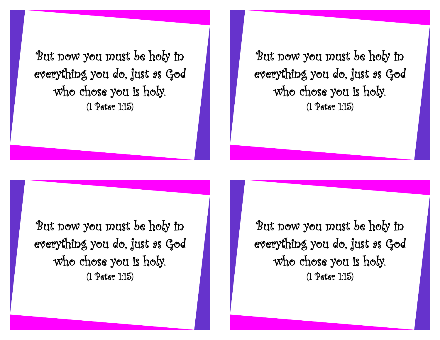But now you must be holy in everything you do, just as God who chose you is holy. (1 Peter 1:15)

But now you must be holy in everything you do, just as God who chose you is holy. (1 Peter 1:15)

But now you must be holy in everything you do, just as God who chose you is holy. (1 Peter 1:15)

But now you must be holy in everything you do, just as God who chose you is holy. (1 Peter 1:15)